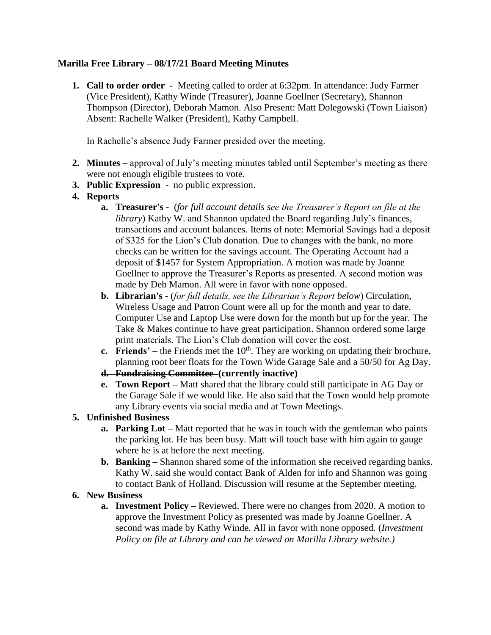# **Marilla Free Library – 08/17/21 Board Meeting Minutes**

**1. Call to order order** - Meeting called to order at 6:32pm. In attendance: Judy Farmer (Vice President), Kathy Winde (Treasurer), Joanne Goellner (Secretary), Shannon Thompson (Director), Deborah Mamon. Also Present: Matt Dolegowski (Town Liaison) Absent: Rachelle Walker (President), Kathy Campbell.

In Rachelle's absence Judy Farmer presided over the meeting.

- **2. Minutes –** approval of July's meeting minutes tabled until September's meeting as there were not enough eligible trustees to vote.
- **3. Public Expression** no public expression.
- **4. Reports**
	- **a. Treasurer's** (*for full account details see the Treasurer's Report on file at the library*) Kathy W. and Shannon updated the Board regarding July's finances, transactions and account balances. Items of note: Memorial Savings had a deposit of \$325 for the Lion's Club donation. Due to changes with the bank, no more checks can be written for the savings account. The Operating Account had a deposit of \$1457 for System Appropriation. A motion was made by Joanne Goellner to approve the Treasurer's Reports as presented. A second motion was made by Deb Mamon. All were in favor with none opposed.
	- **b. Librarian's -** (*for full details, see the Librarian's Report below*) Circulation, Wireless Usage and Patron Count were all up for the month and year to date. Computer Use and Laptop Use were down for the month but up for the year. The Take & Makes continue to have great participation. Shannon ordered some large print materials. The Lion's Club donation will cover the cost.
	- **c. Friends'** the Friends met the  $10<sup>th</sup>$ . They are working on updating their brochure, planning root beer floats for the Town Wide Garage Sale and a 50/50 for Ag Day.
	- **d. Fundraising Committee (currently inactive)**
	- **e. Town Report –** Matt shared that the library could still participate in AG Day or the Garage Sale if we would like. He also said that the Town would help promote any Library events via social media and at Town Meetings.

# **5. Unfinished Business**

- **a. Parking Lot –** Matt reported that he was in touch with the gentleman who paints the parking lot. He has been busy. Matt will touch base with him again to gauge where he is at before the next meeting.
- **b. Banking** Shannon shared some of the information she received regarding banks. Kathy W. said she would contact Bank of Alden for info and Shannon was going to contact Bank of Holland. Discussion will resume at the September meeting.

# **6. New Business**

**a. Investment Policy –** Reviewed. There were no changes from 2020. A motion to approve the Investment Policy as presented was made by Joanne Goellner. A second was made by Kathy Winde. All in favor with none opposed. (*Investment Policy on file at Library and can be viewed on Marilla Library website.)*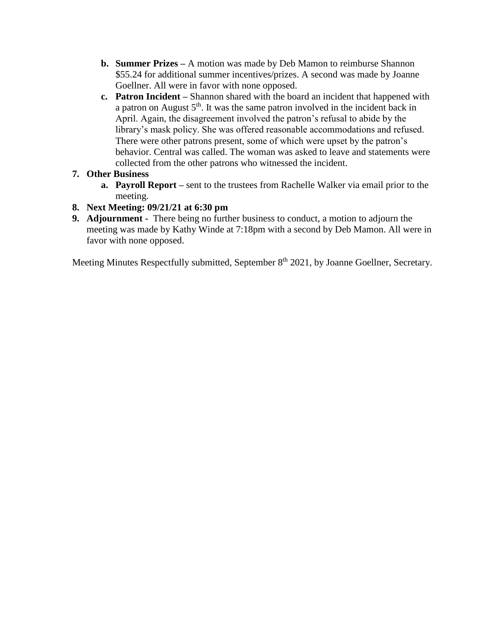- **b. Summer Prizes –** A motion was made by Deb Mamon to reimburse Shannon \$55.24 for additional summer incentives/prizes. A second was made by Joanne Goellner. All were in favor with none opposed.
- **c. Patron Incident –** Shannon shared with the board an incident that happened with a patron on August  $5<sup>th</sup>$ . It was the same patron involved in the incident back in April. Again, the disagreement involved the patron's refusal to abide by the library's mask policy. She was offered reasonable accommodations and refused. There were other patrons present, some of which were upset by the patron's behavior. Central was called. The woman was asked to leave and statements were collected from the other patrons who witnessed the incident.

# **7. Other Business**

- **a. Payroll Report –** sent to the trustees from Rachelle Walker via email prior to the meeting.
- **8. Next Meeting: 09/21/21 at 6:30 pm**
- **9. Adjournment** There being no further business to conduct, a motion to adjourn the meeting was made by Kathy Winde at 7:18pm with a second by Deb Mamon. All were in favor with none opposed.

Meeting Minutes Respectfully submitted, September 8<sup>th</sup> 2021, by Joanne Goellner, Secretary.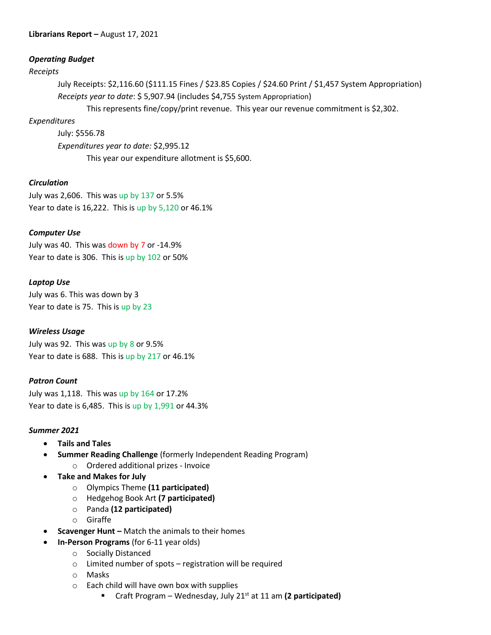### **Librarians Report –** August 17, 2021

#### *Operating Budget*

#### *Receipts*

July Receipts: \$2,116.60 (\$111.15 Fines / \$23.85 Copies / \$24.60 Print / \$1,457 System Appropriation) *Receipts year to date*: \$ 5,907.94 (includes \$4,755 System Appropriation)

This represents fine/copy/print revenue. This year our revenue commitment is \$2,302.

## *Expenditures*

July: \$556.78 *Expenditures year to date:* \$2,995.12 This year our expenditure allotment is \$5,600.

# *Circulation*

July was 2,606. This was up by 137 or 5.5% Year to date is 16,222. This is up by 5,120 or 46.1%

# *Computer Use*

July was 40. This was down by 7 or -14.9% Year to date is 306. This is up by 102 or 50%

## *Laptop Use*

July was 6. This was down by 3 Year to date is 75. This is up by 23

## *Wireless Usage*

July was 92. This was up by 8 or 9.5% Year to date is 688. This is up by 217 or 46.1%

## *Patron Count*

July was 1,118. This was up by 164 or 17.2% Year to date is 6,485. This is up by 1,991 or 44.3%

## *Summer 2021*

- **Tails and Tales**
- **Summer Reading Challenge** (formerly Independent Reading Program)
	- o Ordered additional prizes Invoice
- **Take and Makes for July**
	- o Olympics Theme **(11 participated)**
	- o Hedgehog Book Art **(7 participated)**
	- o Panda **(12 participated)**
	- o Giraffe
- **Scavenger Hunt –** Match the animals to their homes
	- **In-Person Programs** (for 6-11 year olds)
		- o Socially Distanced
			- o Limited number of spots registration will be required
			- o Masks
			- o Each child will have own box with supplies
				- Craft Program Wednesday, July 21<sup>st</sup> at 11 am (2 participated)